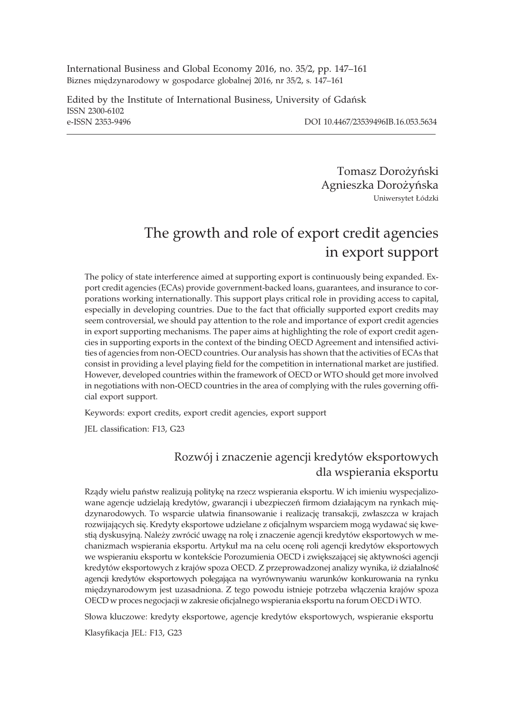International Business and Global Economy 2016, no. 35/2, pp. 147–161 Biznes międzynarodowy w gospodarce globalnej 2016, nr 35/2, s. 147-161

Edited by the Institute of International Business, University of Gdañsk ISSN 2300-6102 e-ISSN 2353-9496 DOI 10.4467/23539496IB.16.053.5634

Tomasz Dorożyński Agnieszka Doro¿yñska Uniwersytet £ódzki

# The growth and role of export credit agencies in export support

The policy of state interference aimed at supporting export is continuously being expanded. Export credit agencies (ECAs) provide government-backed loans, guarantees, and insurance to corporations working internationally. This support plays critical role in providing access to capital, especially in developing countries. Due to the fact that officially supported export credits may seem controversial, we should pay attention to the role and importance of export credit agencies in export supporting mechanisms. The paper aims at highlighting the role of export credit agencies in supporting exports in the context of the binding OECD Agreement and intensified activities of agencies from non-OECD countries. Our analysis has shown that the activities of ECAs that consist in providing a level playing field for the competition in international market are justified. However, developed countries within the framework of OECD or WTO should get more involved in negotiations with non-OECD countries in the area of complying with the rules governing official export support.

Keywords: export credits, export credit agencies, export support

JEL classification: F13, G23

## Rozwój i znaczenie agencji kredytów eksportowych dla wspierania eksportu

Rządy wielu państw realizują politykę na rzecz wspierania eksportu. W ich imieniu wyspecjalizowane agencje udzielają kredytów, gwarancji i ubezpieczeń firmom działającym na rynkach międzynarodowych. To wsparcie ułatwia finansowanie i realizację transakcji, zwłaszcza w krajach rozwijających się. Kredyty eksportowe udzielane z oficjalnym wsparciem mogą wydawać się kwestią dyskusyjną. Należy zwrócić uwagę na rolę i znaczenie agencji kredytów eksportowych w mechanizmach wspierania eksportu. Artykuł ma na celu ocene roli agencji kredytów eksportowych we wspieraniu eksportu w kontekście Porozumienia OECD i zwiększającej się aktywności agencji kredytów eksportowych z krajów spoza OECD. Z przeprowadzonej analizy wynika, iż działalność agencji kredytów eksportowych polegająca na wyrównywaniu warunków konkurowania na rynku międzynarodowym jest uzasadniona. Z tego powodu istnieje potrzeba włączenia krajów spoza OECD w proces negocjacji w zakresie oficjalnego wspierania eksportu na forum OECD iWTO.

Słowa kluczowe: kredyty eksportowe, agencje kredytów eksportowych, wspieranie eksportu

Klasyfikacja JEL: F13, G23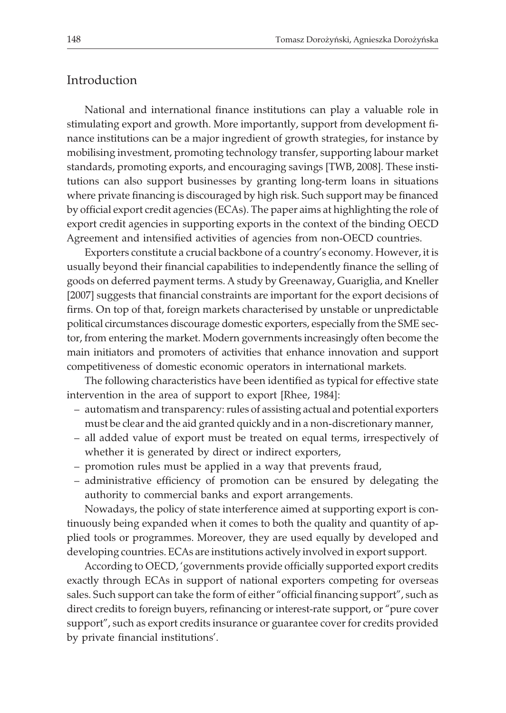## Introduction

National and international finance institutions can play a valuable role in stimulating export and growth. More importantly, support from development finance institutions can be a major ingredient of growth strategies, for instance by mobilising investment, promoting technology transfer, supporting labour market standards, promoting exports, and encouraging savings [TWB, 2008]. These institutions can also support businesses by granting long-term loans in situations where private financing is discouraged by high risk. Such support may be financed by official export credit agencies (ECAs). The paper aims at highlighting the role of export credit agencies in supporting exports in the context of the binding OECD Agreement and intensified activities of agencies from non-OECD countries.

Exporters constitute a crucial backbone of a country's economy. However, it is usually beyond their financial capabilities to independently finance the selling of goods on deferred payment terms. A study by Greenaway, Guariglia, and Kneller [2007] suggests that financial constraints are important for the export decisions of firms. On top of that, foreign markets characterised by unstable or unpredictable political circumstances discourage domestic exporters, especially from the SME sector, from entering the market. Modern governments increasingly often become the main initiators and promoters of activities that enhance innovation and support competitiveness of domestic economic operators in international markets.

The following characteristics have been identified as typical for effective state intervention in the area of support to export [Rhee, 1984]:

- automatism and transparency: rules of assisting actual and potential exporters must be clear and the aid granted quickly and in a non-discretionary manner,
- all added value of export must be treated on equal terms, irrespectively of whether it is generated by direct or indirect exporters,
- promotion rules must be applied in a way that prevents fraud,
- administrative efficiency of promotion can be ensured by delegating the authority to commercial banks and export arrangements.

Nowadays, the policy of state interference aimed at supporting export is continuously being expanded when it comes to both the quality and quantity of applied tools or programmes. Moreover, they are used equally by developed and developing countries. ECAs are institutions actively involved in export support.

According to OECD, 'governments provide officially supported export credits exactly through ECAs in support of national exporters competing for overseas sales. Such support can take the form of either "official financing support", such as direct credits to foreign buyers, refinancing or interest-rate support, or "pure cover support", such as export credits insurance or guarantee cover for credits provided by private financial institutions'.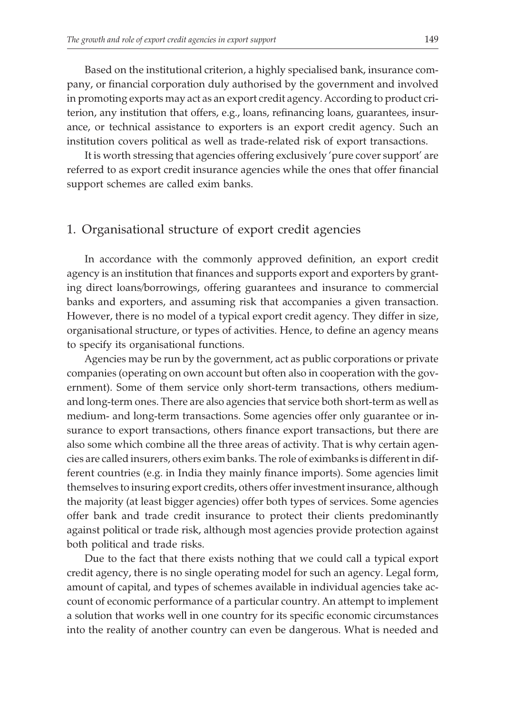Based on the institutional criterion, a highly specialised bank, insurance company, or financial corporation duly authorised by the government and involved in promoting exports may act as an export credit agency. According to product criterion, any institution that offers, e.g., loans, refinancing loans, guarantees, insurance, or technical assistance to exporters is an export credit agency. Such an institution covers political as well as trade-related risk of export transactions.

It is worth stressing that agencies offering exclusively 'pure cover support' are referred to as export credit insurance agencies while the ones that offer financial support schemes are called exim banks.

#### 1. Organisational structure of export credit agencies

In accordance with the commonly approved definition, an export credit agency is an institution that finances and supports export and exporters by granting direct loans/borrowings, offering guarantees and insurance to commercial banks and exporters, and assuming risk that accompanies a given transaction. However, there is no model of a typical export credit agency. They differ in size, organisational structure, or types of activities. Hence, to define an agency means to specify its organisational functions.

Agencies may be run by the government, act as public corporations or private companies (operating on own account but often also in cooperation with the government). Some of them service only short-term transactions, others mediumand long-term ones. There are also agencies that service both short-term as well as medium- and long-term transactions. Some agencies offer only guarantee or insurance to export transactions, others finance export transactions, but there are also some which combine all the three areas of activity. That is why certain agencies are called insurers, others exim banks. The role of eximbanks is different in different countries (e.g. in India they mainly finance imports). Some agencies limit themselves to insuring export credits, others offer investment insurance, although the majority (at least bigger agencies) offer both types of services. Some agencies offer bank and trade credit insurance to protect their clients predominantly against political or trade risk, although most agencies provide protection against both political and trade risks.

Due to the fact that there exists nothing that we could call a typical export credit agency, there is no single operating model for such an agency. Legal form, amount of capital, and types of schemes available in individual agencies take account of economic performance of a particular country. An attempt to implement a solution that works well in one country for its specific economic circumstances into the reality of another country can even be dangerous. What is needed and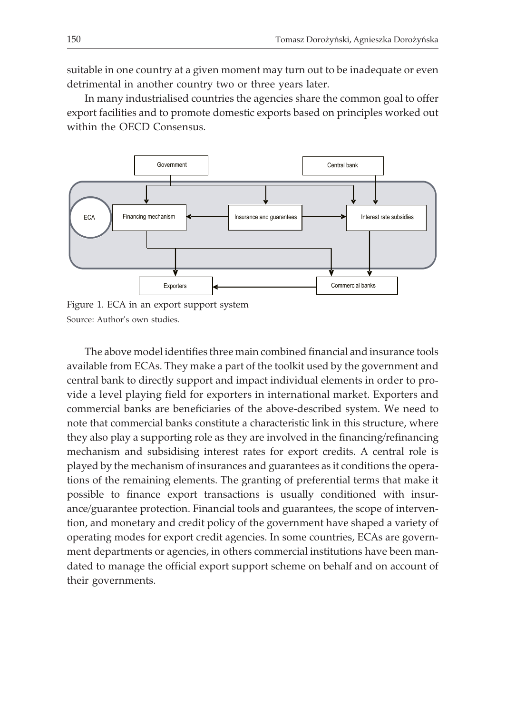suitable in one country at a given moment may turn out to be inadequate or even detrimental in another country two or three years later.

In many industrialised countries the agencies share the common goal to offer export facilities and to promote domestic exports based on principles worked out within the OECD Consensus.



Figure 1. ECA in an export support system Source: Author's own studies.

The above model identifies three main combined financial and insurance tools available from ECAs. They make a part of the toolkit used by the government and central bank to directly support and impact individual elements in order to provide a level playing field for exporters in international market. Exporters and commercial banks are beneficiaries of the above-described system. We need to note that commercial banks constitute a characteristic link in this structure, where they also play a supporting role as they are involved in the financing/refinancing mechanism and subsidising interest rates for export credits. A central role is played by the mechanism of insurances and guarantees as it conditions the operations of the remaining elements. The granting of preferential terms that make it possible to finance export transactions is usually conditioned with insurance/guarantee protection. Financial tools and guarantees, the scope of intervention, and monetary and credit policy of the government have shaped a variety of operating modes for export credit agencies. In some countries, ECAs are government departments or agencies, in others commercial institutions have been mandated to manage the official export support scheme on behalf and on account of their governments.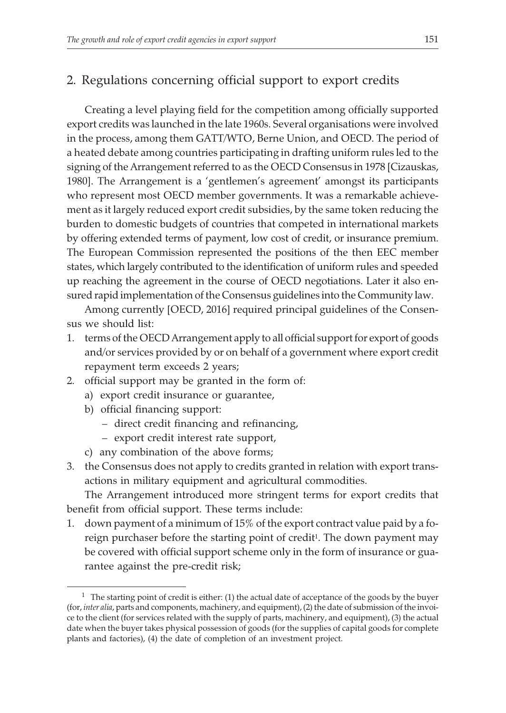## 2. Regulations concerning official support to export credits

Creating a level playing field for the competition among officially supported export credits was launched in the late 1960s. Several organisations were involved in the process, among them GATT/WTO, Berne Union, and OECD. The period of a heated debate among countries participating in drafting uniform rules led to the signing of the Arrangement referred to as the OECD Consensus in 1978 [Cizauskas, 1980]. The Arrangement is a 'gentlemen's agreement' amongst its participants who represent most OECD member governments. It was a remarkable achievement as it largely reduced export credit subsidies, by the same token reducing the burden to domestic budgets of countries that competed in international markets by offering extended terms of payment, low cost of credit, or insurance premium. The European Commission represented the positions of the then EEC member states, which largely contributed to the identification of uniform rules and speeded up reaching the agreement in the course of OECD negotiations. Later it also ensured rapid implementation of the Consensus guidelines into the Community law.

Among currently [OECD, 2016] required principal guidelines of the Consensus we should list:

- 1. terms of the OECD Arrangement apply to all official support for export of goods and/or services provided by or on behalf of a government where export credit repayment term exceeds 2 years;
- 2. official support may be granted in the form of:
	- a) export credit insurance or guarantee,
	- b) official financing support:
		- direct credit financing and refinancing,
		- export credit interest rate support,
	- c) any combination of the above forms;
- 3. the Consensus does not apply to credits granted in relation with export transactions in military equipment and agricultural commodities.

The Arrangement introduced more stringent terms for export credits that benefit from official support. These terms include:

1. down payment of a minimum of 15% of the export contract value paid by a foreign purchaser before the starting point of credit<sup>1</sup>. The down payment may be covered with official support scheme only in the form of insurance or guarantee against the pre-credit risk;

 $<sup>1</sup>$  The starting point of credit is either: (1) the actual date of acceptance of the goods by the buyer</sup> (for, *inter alia*, parts and components, machinery, and equipment), (2) the date of submission of the invoice to the client (for services related with the supply of parts, machinery, and equipment), (3) the actual date when the buyer takes physical possession of goods (for the supplies of capital goods for complete plants and factories), (4) the date of completion of an investment project.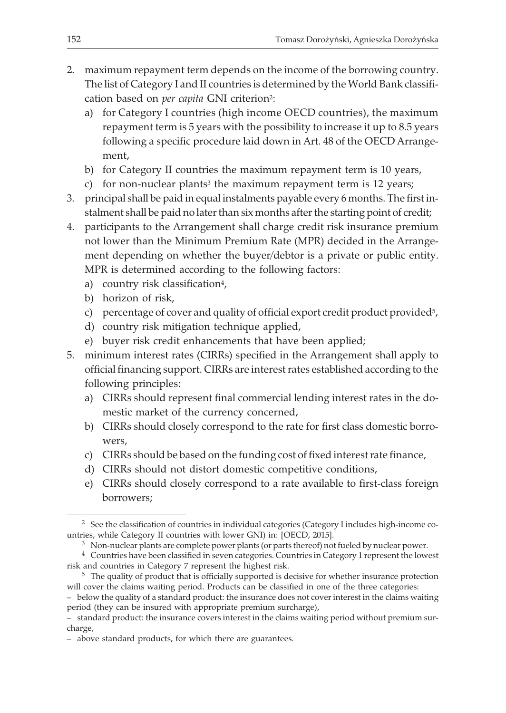- 2. maximum repayment term depends on the income of the borrowing country. The list of Category I and II countries is determined by the World Bank classification based on *per capita* GNI criterion2:
	- a) for Category I countries (high income OECD countries), the maximum repayment term is 5 years with the possibility to increase it up to 8.5 years following a specific procedure laid down in Art. 48 of the OECD Arrangement,
	- b) for Category II countries the maximum repayment term is 10 years,
	- c) for non-nuclear plants<sup>3</sup> the maximum repayment term is  $12$  years;
- 3. principal shall be paid in equal instalments payable every 6 months. The first instalment shall be paid no later than six months after the starting point of credit;

4. participants to the Arrangement shall charge credit risk insurance premium not lower than the Minimum Premium Rate (MPR) decided in the Arrangement depending on whether the buyer/debtor is a private or public entity. MPR is determined according to the following factors:

- a) country risk classification<sup>4</sup>,
- b) horizon of risk,
- c) percentage of cover and quality of official export credit product provided<sup>5</sup>,
- d) country risk mitigation technique applied,
- e) buyer risk credit enhancements that have been applied;
- 5. minimum interest rates (CIRRs) specified in the Arrangement shall apply to official financing support. CIRRs are interest rates established according to the following principles:
	- a) CIRRs should represent final commercial lending interest rates in the domestic market of the currency concerned,
	- b) CIRRs should closely correspond to the rate for first class domestic borrowers,
	- c) CIRRs should be based on the funding cost of fixed interest rate finance,
	- d) CIRRs should not distort domestic competitive conditions,
	- e) CIRRs should closely correspond to a rate available to first-class foreign borrowers;

<sup>5</sup> The quality of product that is officially supported is decisive for whether insurance protection will cover the claims waiting period. Products can be classified in one of the three categories:

<sup>&</sup>lt;sup>2</sup> See the classification of countries in individual categories (Category I includes high-income countries, while Category II countries with lower GNI) in: [OECD, 2015].

<sup>3</sup> Non-nuclear plants are complete power plants (or parts thereof) not fueled by nuclear power.

<sup>4</sup> Countries have been classified in seven categories. Countries in Category 1 represent the lowest risk and countries in Category 7 represent the highest risk.

<sup>–</sup> below the quality of a standard product: the insurance does not cover interest in the claims waiting period (they can be insured with appropriate premium surcharge),

<sup>–</sup> standard product: the insurance covers interest in the claims waiting period without premium surcharge,

<sup>–</sup> above standard products, for which there are guarantees.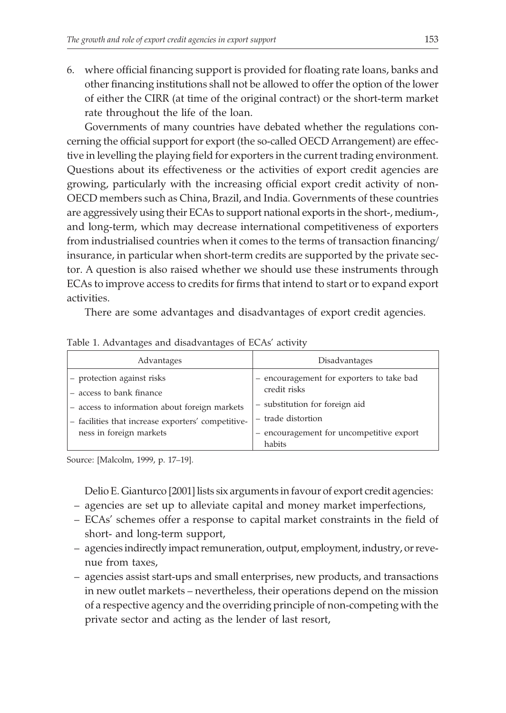6. where official financing support is provided for floating rate loans, banks and other financing institutions shall not be allowed to offer the option of the lower of either the CIRR (at time of the original contract) or the short-term market rate throughout the life of the loan.

Governments of many countries have debated whether the regulations concerning the official support for export (the so-called OECD Arrangement) are effective in levelling the playing field for exporters in the current trading environment. Questions about its effectiveness or the activities of export credit agencies are growing, particularly with the increasing official export credit activity of non-OECD members such as China, Brazil, and India. Governments of these countries are aggressively using their ECAs to support national exports in the short-, medium-, and long-term, which may decrease international competitiveness of exporters from industrialised countries when it comes to the terms of transaction financing/ insurance, in particular when short-term credits are supported by the private sector. A question is also raised whether we should use these instruments through ECAs to improve access to credits for firms that intend to start or to expand export activities.

There are some advantages and disadvantages of export credit agencies.

| Advantages                                                                                                                                                                                 | Disadvantages                                                                                                                                                         |
|--------------------------------------------------------------------------------------------------------------------------------------------------------------------------------------------|-----------------------------------------------------------------------------------------------------------------------------------------------------------------------|
| - protection against risks<br>$-$ access to bank finance<br>- access to information about foreign markets<br>- facilities that increase exporters' competitive-<br>ness in foreign markets | - encouragement for exporters to take bad<br>credit risks<br>- substitution for foreign aid<br>- trade distortion<br>encouragement for uncompetitive export<br>habits |

Table 1. Advantages and disadvantages of ECAs' activity

Source: [Malcolm, 1999, p. 17–19].

Delio E. Gianturco [2001] lists six arguments in favour of export credit agencies:

- agencies are set up to alleviate capital and money market imperfections,
- ECAs' schemes offer a response to capital market constraints in the field of short- and long-term support,
- agencies indirectly impact remuneration, output, employment, industry, or revenue from taxes,
- agencies assist start-ups and small enterprises, new products, and transactions in new outlet markets – nevertheless, their operations depend on the mission of a respective agency and the overriding principle of non-competing with the private sector and acting as the lender of last resort,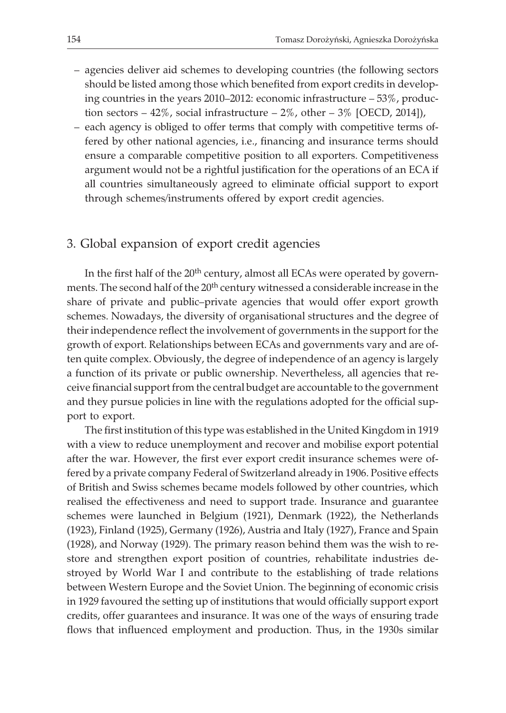- agencies deliver aid schemes to developing countries (the following sectors should be listed among those which benefited from export credits in developing countries in the years 2010–2012: economic infrastructure – 53%, production sectors  $-42\%$ , social infrastructure  $-2\%$ , other  $-3\%$  [OECD, 2014]),
- each agency is obliged to offer terms that comply with competitive terms offered by other national agencies, i.e., financing and insurance terms should ensure a comparable competitive position to all exporters. Competitiveness argument would not be a rightful justification for the operations of an ECA if all countries simultaneously agreed to eliminate official support to export through schemes/instruments offered by export credit agencies.

## 3. Global expansion of export credit agencies

In the first half of the  $20<sup>th</sup>$  century, almost all ECAs were operated by governments. The second half of the 20<sup>th</sup> century witnessed a considerable increase in the share of private and public–private agencies that would offer export growth schemes. Nowadays, the diversity of organisational structures and the degree of their independence reflect the involvement of governments in the support for the growth of export. Relationships between ECAs and governments vary and are often quite complex. Obviously, the degree of independence of an agency is largely a function of its private or public ownership. Nevertheless, all agencies that receive financial support from the central budget are accountable to the government and they pursue policies in line with the regulations adopted for the official support to export.

The first institution of this type was established in the United Kingdom in 1919 with a view to reduce unemployment and recover and mobilise export potential after the war. However, the first ever export credit insurance schemes were offered by a private company Federal of Switzerland already in 1906. Positive effects of British and Swiss schemes became models followed by other countries, which realised the effectiveness and need to support trade. Insurance and guarantee schemes were launched in Belgium (1921), Denmark (1922), the Netherlands (1923), Finland (1925), Germany (1926), Austria and Italy (1927), France and Spain (1928), and Norway (1929). The primary reason behind them was the wish to restore and strengthen export position of countries, rehabilitate industries destroyed by World War I and contribute to the establishing of trade relations between Western Europe and the Soviet Union. The beginning of economic crisis in 1929 favoured the setting up of institutions that would officially support export credits, offer guarantees and insurance. It was one of the ways of ensuring trade flows that influenced employment and production. Thus, in the 1930s similar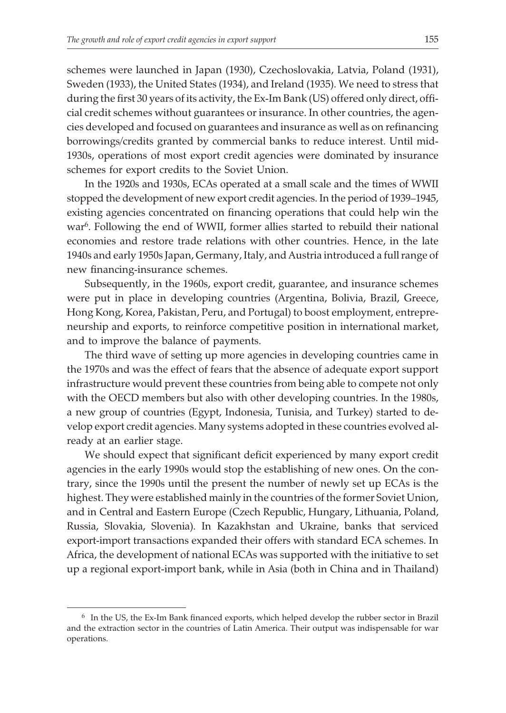schemes were launched in Japan (1930), Czechoslovakia, Latvia, Poland (1931), Sweden (1933), the United States (1934), and Ireland (1935). We need to stress that during the first 30 years of its activity, the Ex-Im Bank (US) offered only direct, official credit schemes without guarantees or insurance. In other countries, the agencies developed and focused on guarantees and insurance as well as on refinancing borrowings/credits granted by commercial banks to reduce interest. Until mid-1930s, operations of most export credit agencies were dominated by insurance schemes for export credits to the Soviet Union.

In the 1920s and 1930s, ECAs operated at a small scale and the times of WWII stopped the development of new export credit agencies. In the period of 1939–1945, existing agencies concentrated on financing operations that could help win the war<sup>6</sup>. Following the end of WWII, former allies started to rebuild their national economies and restore trade relations with other countries. Hence, in the late 1940s and early 1950s Japan, Germany, Italy, and Austria introduced a full range of new financing-insurance schemes.

Subsequently, in the 1960s, export credit, guarantee, and insurance schemes were put in place in developing countries (Argentina, Bolivia, Brazil, Greece, Hong Kong, Korea, Pakistan, Peru, and Portugal) to boost employment, entrepreneurship and exports, to reinforce competitive position in international market, and to improve the balance of payments.

The third wave of setting up more agencies in developing countries came in the 1970s and was the effect of fears that the absence of adequate export support infrastructure would prevent these countries from being able to compete not only with the OECD members but also with other developing countries. In the 1980s, a new group of countries (Egypt, Indonesia, Tunisia, and Turkey) started to develop export credit agencies. Many systems adopted in these countries evolved already at an earlier stage.

We should expect that significant deficit experienced by many export credit agencies in the early 1990s would stop the establishing of new ones. On the contrary, since the 1990s until the present the number of newly set up ECAs is the highest. They were established mainly in the countries of the former Soviet Union, and in Central and Eastern Europe (Czech Republic, Hungary, Lithuania, Poland, Russia, Slovakia, Slovenia). In Kazakhstan and Ukraine, banks that serviced export-import transactions expanded their offers with standard ECA schemes. In Africa, the development of national ECAs was supported with the initiative to set up a regional export-import bank, while in Asia (both in China and in Thailand)

<sup>6</sup> In the US, the Ex-Im Bank financed exports, which helped develop the rubber sector in Brazil and the extraction sector in the countries of Latin America. Their output was indispensable for war operations.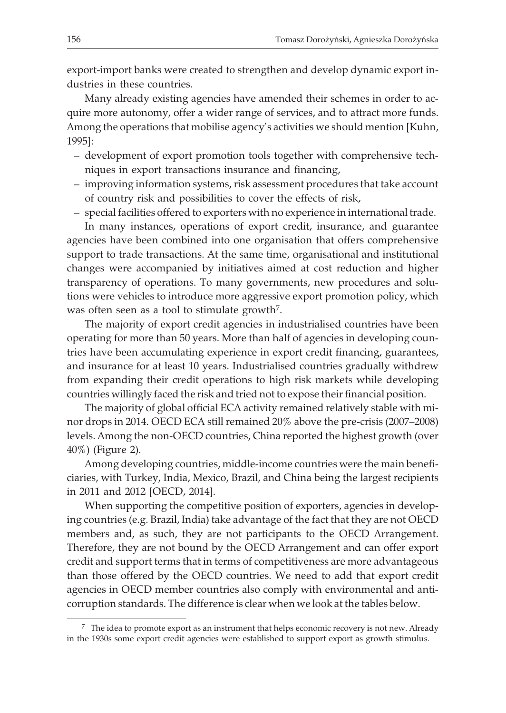export-import banks were created to strengthen and develop dynamic export industries in these countries.

Many already existing agencies have amended their schemes in order to acquire more autonomy, offer a wider range of services, and to attract more funds. Among the operations that mobilise agency's activities we should mention [Kuhn, 1995]:

- development of export promotion tools together with comprehensive techniques in export transactions insurance and financing,
- improving information systems, risk assessment procedures that take account of country risk and possibilities to cover the effects of risk,
- special facilities offered to exporters with no experience in international trade.

In many instances, operations of export credit, insurance, and guarantee agencies have been combined into one organisation that offers comprehensive support to trade transactions. At the same time, organisational and institutional changes were accompanied by initiatives aimed at cost reduction and higher transparency of operations. To many governments, new procedures and solutions were vehicles to introduce more aggressive export promotion policy, which was often seen as a tool to stimulate growth<sup>7</sup>.

The majority of export credit agencies in industrialised countries have been operating for more than 50 years. More than half of agencies in developing countries have been accumulating experience in export credit financing, guarantees, and insurance for at least 10 years. Industrialised countries gradually withdrew from expanding their credit operations to high risk markets while developing countries willingly faced the risk and tried not to expose their financial position.

The majority of global official ECA activity remained relatively stable with minor drops in 2014. OECD ECA still remained 20% above the pre-crisis (2007–2008) levels. Among the non-OECD countries, China reported the highest growth (over 40%) (Figure 2).

Among developing countries, middle-income countries were the main beneficiaries, with Turkey, India, Mexico, Brazil, and China being the largest recipients in 2011 and 2012 [OECD, 2014].

When supporting the competitive position of exporters, agencies in developing countries (e.g. Brazil, India) take advantage of the fact that they are not OECD members and, as such, they are not participants to the OECD Arrangement. Therefore, they are not bound by the OECD Arrangement and can offer export credit and support terms that in terms of competitiveness are more advantageous than those offered by the OECD countries. We need to add that export credit agencies in OECD member countries also comply with environmental and anticorruption standards. The difference is clear when we look at the tables below.

 $<sup>7</sup>$  The idea to promote export as an instrument that helps economic recovery is not new. Already</sup> in the 1930s some export credit agencies were established to support export as growth stimulus.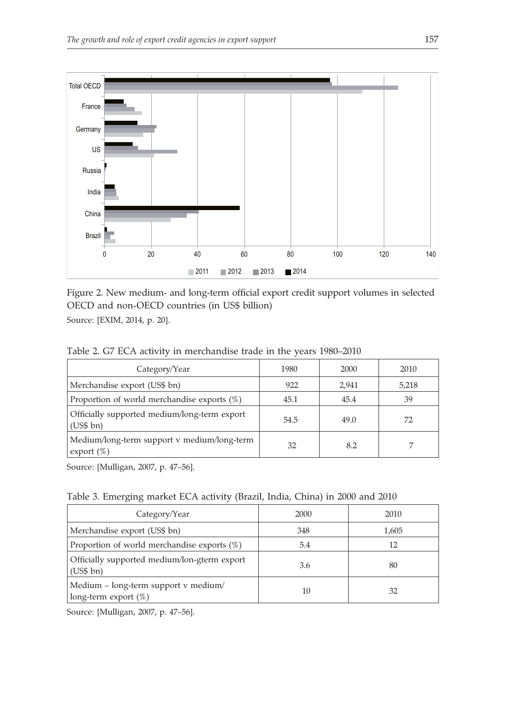

Figure 2. New medium- and long-term official export credit support volumes in selected OECD and non-OECD countries (in US\$ billion) Source: [EXIM, 2014, p. 20].

Table 2. G7 ECA activity in merchandise trade in the years 1980–2010

| Category/Year                                                 | 1980 | 2000  | 2010  |
|---------------------------------------------------------------|------|-------|-------|
| Merchandise export (US\$ bn)                                  | 922  | 2.941 | 5,218 |
| Proportion of world merchandise exports $(\%)$                | 45.1 | 45.4  | 39    |
| Officially supported medium/long-term export<br>(US\$bn)      | 54.5 | 49.0  | 72    |
| Medium/long-term support v medium/long-term<br>export $(\% )$ | 32   | 8.2   |       |

Source: [Mulligan, 2007, p. 47–56].

Table 3. Emerging market ECA activity (Brazil, India, China) in 2000 and 2010

| Category/Year                                                   | 2000 | 2010  |
|-----------------------------------------------------------------|------|-------|
| Merchandise export (US\$ bn)                                    | 348  | 1,605 |
| Proportion of world merchandise exports $(\%)$                  | 5.4  | 12    |
| Officially supported medium/lon-gterm export<br>(US\$bn)        | 3.6  | 80    |
| Medium – long-term support v medium/<br>long-term export $(\%)$ | 10   | 32    |

Source: [Mulligan, 2007, p. 47–56].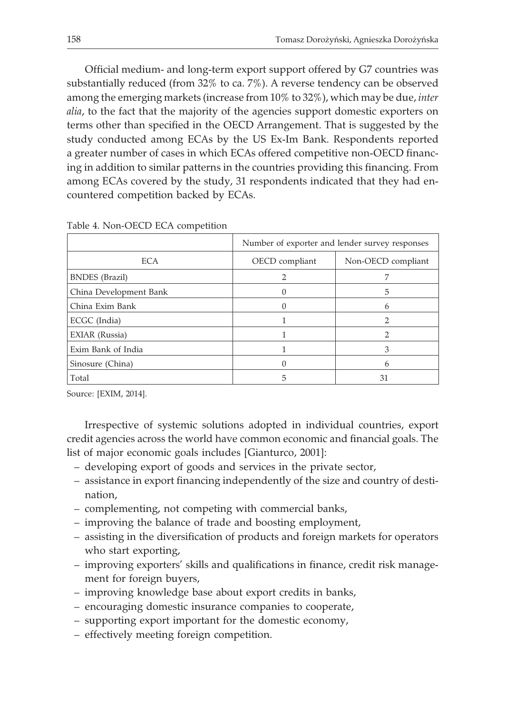Official medium- and long-term export support offered by G7 countries was substantially reduced (from 32% to ca. 7%). A reverse tendency can be observed among the emerging markets (increase from 10% to 32%), which may be due, *inter alia*, to the fact that the majority of the agencies support domestic exporters on terms other than specified in the OECD Arrangement. That is suggested by the study conducted among ECAs by the US Ex-Im Bank. Respondents reported a greater number of cases in which ECAs offered competitive non-OECD financing in addition to similar patterns in the countries providing this financing. From among ECAs covered by the study, 31 respondents indicated that they had encountered competition backed by ECAs.

|                        | Number of exporter and lender survey responses |                    |  |
|------------------------|------------------------------------------------|--------------------|--|
|                        |                                                |                    |  |
| <b>ECA</b>             | OECD compliant                                 | Non-OECD compliant |  |
| <b>BNDES</b> (Brazil)  |                                                |                    |  |
| China Development Bank |                                                | 5                  |  |
| China Exim Bank        |                                                | 6                  |  |
| ECGC (India)           |                                                |                    |  |
| EXIAR (Russia)         |                                                | 2                  |  |
| Exim Bank of India     |                                                | 3                  |  |
| Sinosure (China)       |                                                | 6                  |  |
| Total                  |                                                | 31                 |  |

Table 4. Non-OECD ECA competition

Source: [EXIM, 2014].

Irrespective of systemic solutions adopted in individual countries, export credit agencies across the world have common economic and financial goals. The list of major economic goals includes [Gianturco, 2001]:

- developing export of goods and services in the private sector,
- assistance in export financing independently of the size and country of destination,
- complementing, not competing with commercial banks,
- improving the balance of trade and boosting employment,
- assisting in the diversification of products and foreign markets for operators who start exporting,
- improving exporters' skills and qualifications in finance, credit risk management for foreign buyers,
- improving knowledge base about export credits in banks,
- encouraging domestic insurance companies to cooperate,
- supporting export important for the domestic economy,
- effectively meeting foreign competition.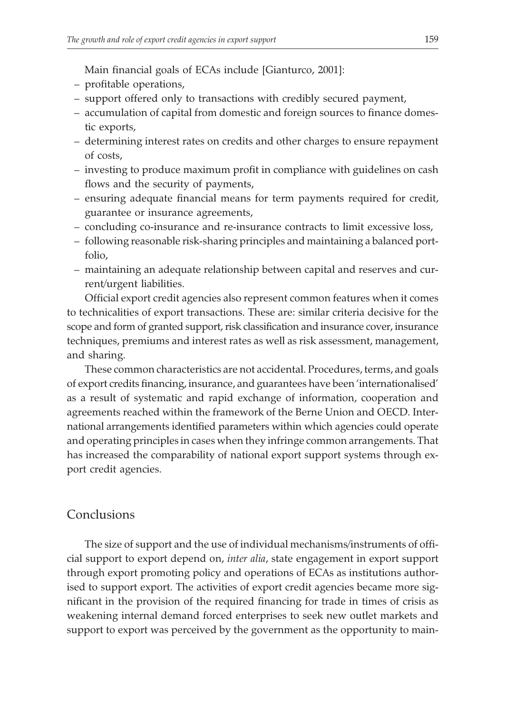Main financial goals of ECAs include [Gianturco, 2001]:

- profitable operations,
- support offered only to transactions with credibly secured payment,
- accumulation of capital from domestic and foreign sources to finance domestic exports,
- determining interest rates on credits and other charges to ensure repayment of costs,
- investing to produce maximum profit in compliance with guidelines on cash flows and the security of payments,
- ensuring adequate financial means for term payments required for credit, guarantee or insurance agreements,
- concluding co-insurance and re-insurance contracts to limit excessive loss,
- following reasonable risk-sharing principles and maintaining a balanced portfolio,
- maintaining an adequate relationship between capital and reserves and current/urgent liabilities.

Official export credit agencies also represent common features when it comes to technicalities of export transactions. These are: similar criteria decisive for the scope and form of granted support, risk classification and insurance cover, insurance techniques, premiums and interest rates as well as risk assessment, management, and sharing.

These common characteristics are not accidental. Procedures, terms, and goals of export credits financing, insurance, and guarantees have been 'internationalised' as a result of systematic and rapid exchange of information, cooperation and agreements reached within the framework of the Berne Union and OECD. International arrangements identified parameters within which agencies could operate and operating principles in cases when they infringe common arrangements. That has increased the comparability of national export support systems through export credit agencies.

#### Conclusions

The size of support and the use of individual mechanisms/instruments of official support to export depend on, *inter alia*, state engagement in export support through export promoting policy and operations of ECAs as institutions authorised to support export. The activities of export credit agencies became more significant in the provision of the required financing for trade in times of crisis as weakening internal demand forced enterprises to seek new outlet markets and support to export was perceived by the government as the opportunity to main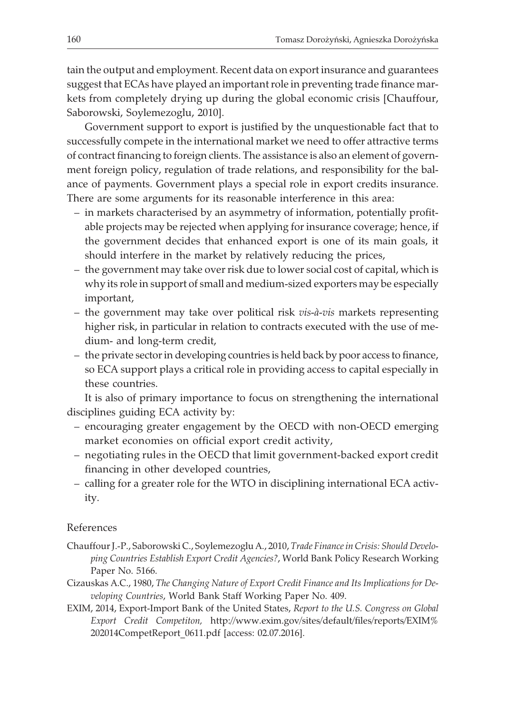tain the output and employment. Recent data on export insurance and guarantees suggest that ECAs have played an important role in preventing trade finance markets from completely drying up during the global economic crisis [Chauffour, Saborowski, Soylemezoglu, 2010].

Government support to export is justified by the unquestionable fact that to successfully compete in the international market we need to offer attractive terms of contract financing to foreign clients. The assistance is also an element of government foreign policy, regulation of trade relations, and responsibility for the balance of payments. Government plays a special role in export credits insurance. There are some arguments for its reasonable interference in this area:

- in markets characterised by an asymmetry of information, potentially profitable projects may be rejected when applying for insurance coverage; hence, if the government decides that enhanced export is one of its main goals, it should interfere in the market by relatively reducing the prices,
- the government may take over risk due to lower social cost of capital, which is why its role in support of small and medium-sized exporters may be especially important,
- the government may take over political risk *vis-à-vis* markets representing higher risk, in particular in relation to contracts executed with the use of medium- and long-term credit,
- the private sector in developing countries is held back by poor access to finance, so ECA support plays a critical role in providing access to capital especially in these countries.

It is also of primary importance to focus on strengthening the international disciplines guiding ECA activity by:

- encouraging greater engagement by the OECD with non-OECD emerging market economies on official export credit activity,
- negotiating rules in the OECD that limit government-backed export credit financing in other developed countries,
- calling for a greater role for the WTO in disciplining international ECA activity.

#### References

- Chauffour J.-P., Saborowski C., Soylemezoglu A., 2010, *Trade Finance in Crisis: Should Developing Countries Establish Export Credit Agencies?*, World Bank Policy Research Working Paper No. 5166.
- Cizauskas A.C., 1980, *The Changing Nature of Export Credit Finance and Its Implications for Developing Countries*, World Bank Staff Working Paper No. 409.
- EXIM, 2014, Export-Import Bank of the United States, *Report to the U.S. Congress on Global Export Credit Competiton,* http://www.exim.gov/sites/default/files/reports/EXIM% 202014CompetReport\_0611.pdf [access: 02.07.2016].